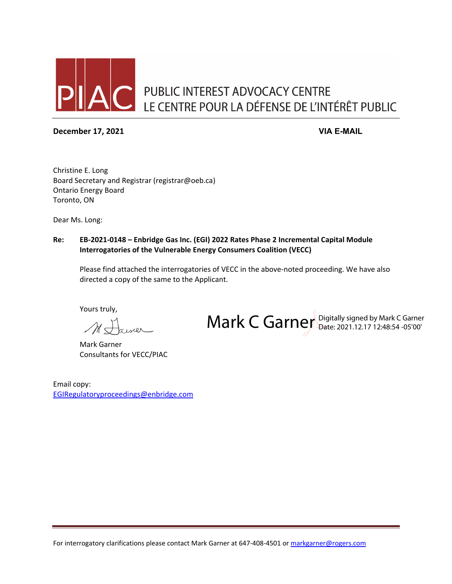

#### **December 17, 2021 VIA E-MAIL**

Mark C Garner Digitally signed by Mark C Garner

Christine E. Long Board Secretary and Registrar (registrar@oeb.ca) Ontario Energy Board Toronto, ON

Dear Ms. Long:

#### **Re: EB-2021-0148 – Enbridge Gas Inc. (EGI) 2022 Rates Phase 2 Incremental Capital Module Interrogatories of the Vulnerable Energy Consumers Coalition (VECC)**

Please find attached the interrogatories of VECC in the above-noted proceeding. We have also directed a copy of the same to the Applicant.

Yours truly,

Mark Garner Consultants for VECC/PIAC

Email copy: [EGIRegulatoryproceedings@enbridge.com](mailto:EGIRegulatoryproceedings@enbridge.com)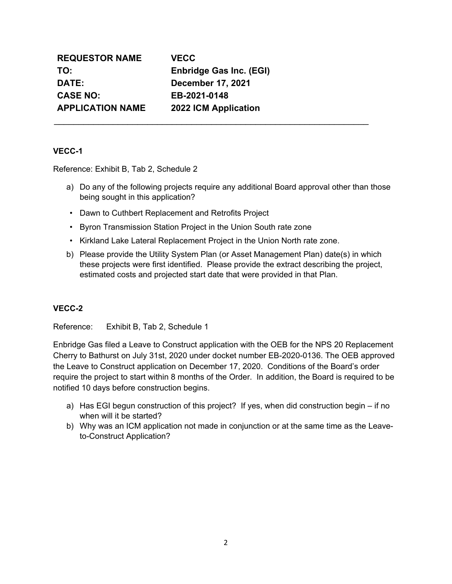| <b>REQUESTOR NAME</b>   | <b>VECC</b>    |
|-------------------------|----------------|
| TO:                     | <b>Enbrid</b>  |
| DATE:                   | Decem          |
| <b>CASE NO:</b>         | EB-202         |
| <b>APPLICATION NAME</b> | <b>2022 IO</b> |

**TO: Enbridge Gas Inc. (EGI) DATE: December 17, 2021 CASE NO: EB-2021-0148 CM Application** 

\_\_\_\_\_\_\_\_\_\_\_\_\_\_\_\_\_\_\_\_\_\_\_\_\_\_\_\_\_\_\_\_\_\_\_\_\_\_\_\_\_\_\_\_\_\_\_\_\_\_\_\_\_\_\_\_\_\_\_\_\_\_\_\_

# **VECC-1**

Reference: Exhibit B, Tab 2, Schedule 2

- a) Do any of the following projects require any additional Board approval other than those being sought in this application?
- Dawn to Cuthbert Replacement and Retrofits Project
- Byron Transmission Station Project in the Union South rate zone
- Kirkland Lake Lateral Replacement Project in the Union North rate zone.
- b) Please provide the Utility System Plan (or Asset Management Plan) date(s) in which these projects were first identified. Please provide the extract describing the project, estimated costs and projected start date that were provided in that Plan.

# **VECC-2**

Reference: Exhibit B, Tab 2, Schedule 1

Enbridge Gas filed a Leave to Construct application with the OEB for the NPS 20 Replacement Cherry to Bathurst on July 31st, 2020 under docket number EB-2020-0136. The OEB approved the Leave to Construct application on December 17, 2020. Conditions of the Board's order require the project to start within 8 months of the Order. In addition, the Board is required to be notified 10 days before construction begins.

- a) Has EGI begun construction of this project? If yes, when did construction begin if no when will it be started?
- b) Why was an ICM application not made in conjunction or at the same time as the Leaveto-Construct Application?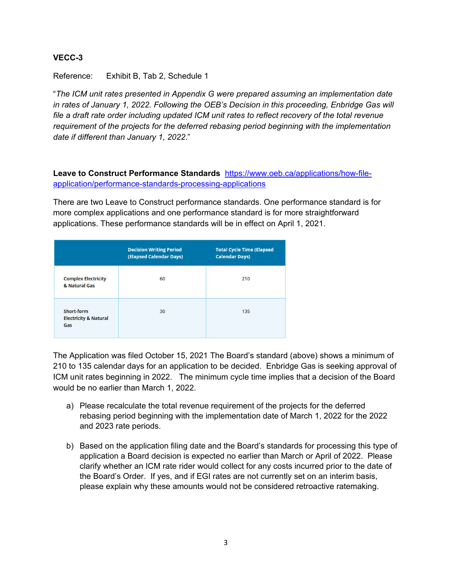Reference: Exhibit B, Tab 2, Schedule 1

"*The ICM unit rates presented in Appendix G were prepared assuming an implementation date in rates of January 1, 2022. Following the OEB's Decision in this proceeding, Enbridge Gas will file a draft rate order including updated ICM unit rates to reflect recovery of the total revenue requirement of the projects for the deferred rebasing period beginning with the implementation date if different than January 1, 2022*."

**Leave to Construct Performance Standards** [https://www.oeb.ca/applications/how-file](https://www.oeb.ca/applications/how-file-application/performance-standards-processing-applications)[application/performance-standards-processing-applications](https://www.oeb.ca/applications/how-file-application/performance-standards-processing-applications)

There are two Leave to Construct performance standards. One performance standard is for more complex applications and one performance standard is for more straightforward applications. These performance standards will be in effect on April 1, 2021.

|                                                       | <b>Decision Writing Period</b><br>(Elapsed Calendar Days) | <b>Total Cycle Time (Elapsed</b><br><b>Calendar Days)</b> |
|-------------------------------------------------------|-----------------------------------------------------------|-----------------------------------------------------------|
| <b>Complex Electricity</b><br>& Natural Gas           | 60                                                        | 210                                                       |
| Short-form<br><b>Electricity &amp; Natural</b><br>Gas | 30                                                        | 135                                                       |

The Application was filed October 15, 2021 The Board's standard (above) shows a minimum of 210 to 135 calendar days for an application to be decided. Enbridge Gas is seeking approval of ICM unit rates beginning in 2022. The minimum cycle time implies that a decision of the Board would be no earlier than March 1, 2022.

- a) Please recalculate the total revenue requirement of the projects for the deferred rebasing period beginning with the implementation date of March 1, 2022 for the 2022 and 2023 rate periods.
- b) Based on the application filing date and the Board's standards for processing this type of application a Board decision is expected no earlier than March or April of 2022. Please clarify whether an ICM rate rider would collect for any costs incurred prior to the date of the Board's Order. If yes, and if EGI rates are not currently set on an interim basis, please explain why these amounts would not be considered retroactive ratemaking.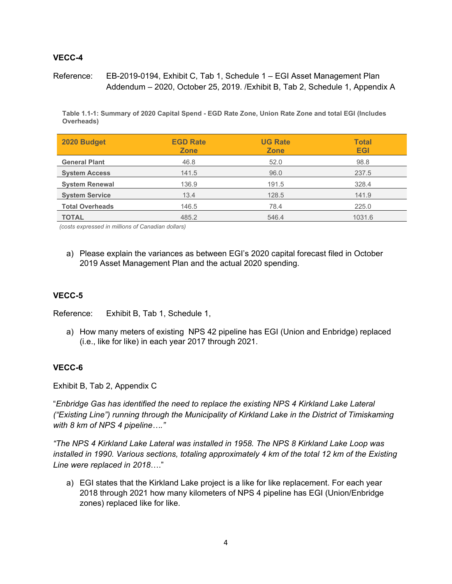Reference: EB-2019-0194, Exhibit C, Tab 1, Schedule 1 – EGI Asset Management Plan Addendum – 2020, October 25, 2019. /Exhibit B, Tab 2, Schedule 1, Appendix A

**Table 1.1-1: Summary of 2020 Capital Spend - EGD Rate Zone, Union Rate Zone and total EGI (Includes Overheads)**

| 2020 Budget            | <b>EGD Rate</b><br><b>Zone</b> | <b>UG Rate</b><br><b>Zone</b> | <b>Total</b><br><b>EGI</b> |
|------------------------|--------------------------------|-------------------------------|----------------------------|
| <b>General Plant</b>   | 46.8                           | 52.0                          | 98.8                       |
| <b>System Access</b>   | 141.5                          | 96.0                          | 237.5                      |
| <b>System Renewal</b>  | 136.9                          | 191.5                         | 328.4                      |
| <b>System Service</b>  | 13.4                           | 128.5                         | 141.9                      |
| <b>Total Overheads</b> | 146.5                          | 78.4                          | 225.0                      |
| <b>TOTAL</b>           | 485.2                          | 546.4                         | 1031.6                     |

*(costs expressed in millions of Canadian dollars)* 

a) Please explain the variances as between EGI's 2020 capital forecast filed in October 2019 Asset Management Plan and the actual 2020 spending.

### **VECC-5**

Reference: Exhibit B, Tab 1, Schedule 1,

a) How many meters of existing NPS 42 pipeline has EGI (Union and Enbridge) replaced (i.e., like for like) in each year 2017 through 2021.

#### **VECC-6**

Exhibit B, Tab 2, Appendix C

"*Enbridge Gas has identified the need to replace the existing NPS 4 Kirkland Lake Lateral ("Existing Line") running through the Municipality of Kirkland Lake in the District of Timiskaming with 8 km of NPS 4 pipeline…."*

*"The NPS 4 Kirkland Lake Lateral was installed in 1958. The NPS 8 Kirkland Lake Loop was installed in 1990. Various sections, totaling approximately 4 km of the total 12 km of the Existing Line were replaced in 2018*…."

a) EGI states that the Kirkland Lake project is a like for like replacement. For each year 2018 through 2021 how many kilometers of NPS 4 pipeline has EGI (Union/Enbridge zones) replaced like for like.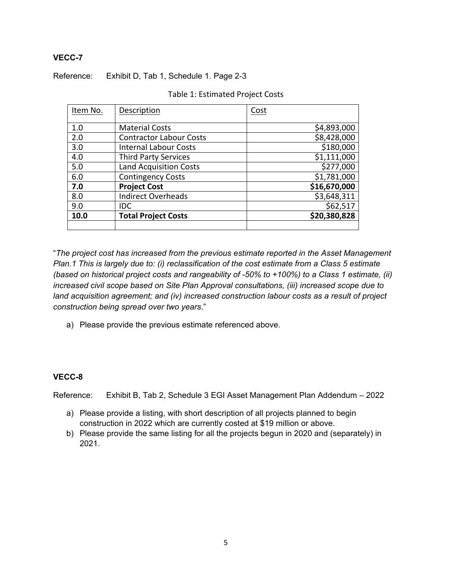Reference: Exhibit D, Tab 1, Schedule 1. Page 2-3

| Item No. | Description                    | Cost         |
|----------|--------------------------------|--------------|
|          |                                |              |
| 1.0      | <b>Material Costs</b>          | \$4,893,000  |
| 2.0      | <b>Contractor Labour Costs</b> | \$8,428,000  |
| 3.0      | <b>Internal Labour Costs</b>   | \$180,000    |
| 4.0      | <b>Third Party Services</b>    | \$1,111,000  |
| 5.0      | <b>Land Acquisition Costs</b>  | \$277,000    |
| 6.0      | <b>Contingency Costs</b>       | \$1,781,000  |
| 7.0      | <b>Project Cost</b>            | \$16,670,000 |
| 8.0      | <b>Indirect Overheads</b>      | \$3,648,311  |
| 9.0      | <b>IDC</b>                     | \$62,517     |
| 10.0     | <b>Total Project Costs</b>     | \$20,380,828 |
|          |                                |              |

| Table 1: Estimated Project Costs |
|----------------------------------|
|----------------------------------|

"*The project cost has increased from the previous estimate reported in the Asset Management Plan.1 This is largely due to: (i) reclassification of the cost estimate from a Class 5 estimate (based on historical project costs and rangeability of -50% to +100%) to a Class 1 estimate, (ii) increased civil scope based on Site Plan Approval consultations, (iii) increased scope due to land acquisition agreement; and (iv) increased construction labour costs as a result of project construction being spread over two years*."

a) Please provide the previous estimate referenced above.

#### **VECC-8**

Reference: Exhibit B, Tab 2, Schedule 3 EGI Asset Management Plan Addendum – 2022

- a) Please provide a listing, with short description of all projects planned to begin construction in 2022 which are currently costed at \$19 million or above.
- b) Please provide the same listing for all the projects begun in 2020 and (separately) in 2021.